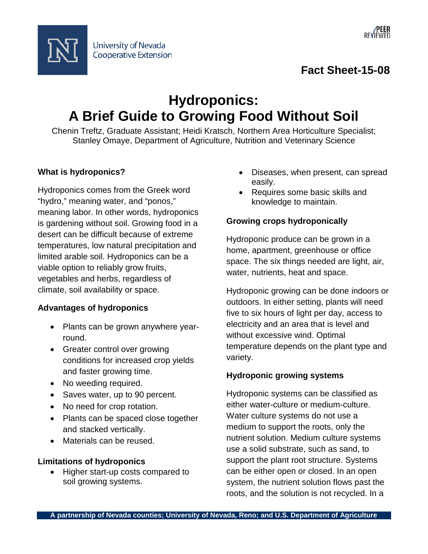



**Fact Sheet-15-08**

# **Hydroponics: A Brief Guide to Growing Food Without Soil**

Chenin Treftz, Graduate Assistant; Heidi Kratsch, Northern Area Horticulture Specialist; Stanley Omaye, Department of Agriculture, Nutrition and Veterinary Science

# **What is hydroponics?**

Hydroponics comes from the Greek word "hydro," meaning water, and "ponos," meaning labor. In other words, hydroponics is gardening without soil. Growing food in a desert can be difficult because of extreme temperatures, low natural precipitation and limited arable soil. Hydroponics can be a viable option to reliably grow fruits, vegetables and herbs, regardless of climate, soil availability or space.

## **Advantages of hydroponics**

- Plants can be grown anywhere yearround.
- Greater control over growing conditions for increased crop yields and faster growing time.
- No weeding required.
- Saves water, up to 90 percent.
- No need for crop rotation.
- Plants can be spaced close together and stacked vertically.
- Materials can be reused.

## **Limitations of hydroponics**

• Higher start-up costs compared to soil growing systems.

- Diseases, when present, can spread easily.
- Requires some basic skills and knowledge to maintain.

# **Growing crops hydroponically**

Hydroponic produce can be grown in a home, apartment, greenhouse or office space. The six things needed are light, air, water, nutrients, heat and space.

Hydroponic growing can be done indoors or outdoors. In either setting, plants will need five to six hours of light per day, access to electricity and an area that is level and without excessive wind. Optimal temperature depends on the plant type and variety.

# **Hydroponic growing systems**

Hydroponic systems can be classified as either water-culture or medium-culture. Water culture systems do not use a medium to support the roots, only the nutrient solution. Medium culture systems use a solid substrate, such as sand, to support the plant root structure. Systems can be either open or closed. In an open system, the nutrient solution flows past the roots, and the solution is not recycled. In a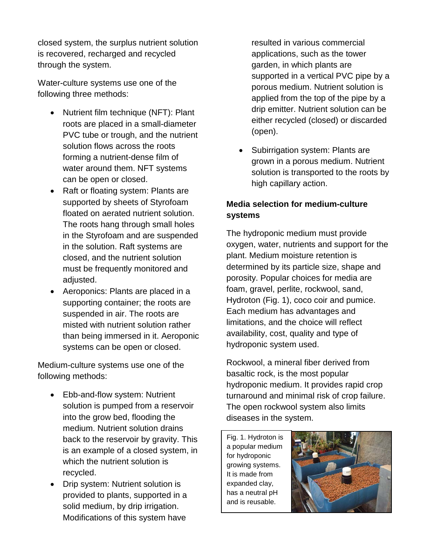closed system, the surplus nutrient solution is recovered, recharged and recycled through the system.

Water-culture systems use one of the following three methods:

- Nutrient film technique (NFT): Plant roots are placed in a small-diameter PVC tube or trough, and the nutrient solution flows across the roots forming a nutrient-dense film of water around them. NFT systems can be open or closed.
- Raft or floating system: Plants are supported by sheets of Styrofoam floated on aerated nutrient solution. The roots hang through small holes in the Styrofoam and are suspended in the solution. Raft systems are closed, and the nutrient solution must be frequently monitored and adjusted.
- Aeroponics: Plants are placed in a supporting container; the roots are suspended in air. The roots are misted with nutrient solution rather than being immersed in it. Aeroponic systems can be open or closed.

Medium-culture systems use one of the following methods:

- Ebb-and-flow system: Nutrient solution is pumped from a reservoir into the grow bed, flooding the medium. Nutrient solution drains back to the reservoir by gravity. This is an example of a closed system, in which the nutrient solution is recycled.
- Drip system: Nutrient solution is provided to plants, supported in a solid medium, by drip irrigation. Modifications of this system have

resulted in various commercial applications, such as the tower garden, in which plants are supported in a vertical PVC pipe by a porous medium. Nutrient solution is applied from the top of the pipe by a drip emitter. Nutrient solution can be either recycled (closed) or discarded (open).

• Subirrigation system: Plants are grown in a porous medium. Nutrient solution is transported to the roots by high capillary action.

# **Media selection for medium-culture systems**

The hydroponic medium must provide oxygen, water, nutrients and support for the plant. Medium moisture retention is determined by its particle size, shape and porosity. Popular choices for media are foam, gravel, perlite, rockwool, sand, Hydroton (Fig. 1), coco coir and pumice. Each medium has advantages and limitations, and the choice will reflect availability, cost, quality and type of hydroponic system used.

Rockwool, a mineral fiber derived from basaltic rock, is the most popular hydroponic medium. It provides rapid crop turnaround and minimal risk of crop failure. The open rockwool system also limits diseases in the system.

Fig. 1. Hydroton is a popular medium for hydroponic growing systems. It is made from expanded clay, has a neutral pH and is reusable.

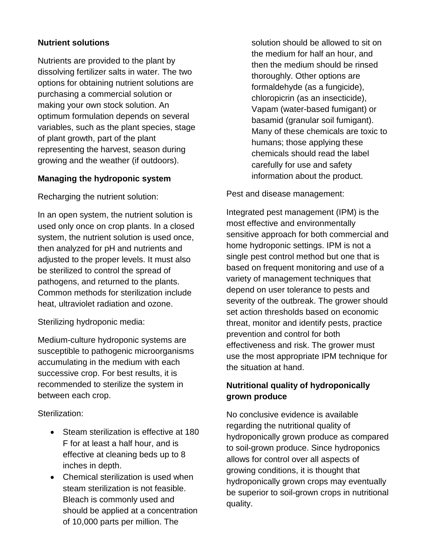## **Nutrient solutions**

Nutrients are provided to the plant by dissolving fertilizer salts in water. The two options for obtaining nutrient solutions are purchasing a commercial solution or making your own stock solution. An optimum formulation depends on several variables, such as the plant species, stage of plant growth, part of the plant representing the harvest, season during growing and the weather (if outdoors).

#### **Managing the hydroponic system**

Recharging the nutrient solution:

In an open system, the nutrient solution is used only once on crop plants. In a closed system, the nutrient solution is used once, then analyzed for pH and nutrients and adjusted to the proper levels. It must also be sterilized to control the spread of pathogens, and returned to the plants. Common methods for sterilization include heat, ultraviolet radiation and ozone.

Sterilizing hydroponic media:

Medium-culture hydroponic systems are susceptible to pathogenic microorganisms accumulating in the medium with each successive crop. For best results, it is recommended to sterilize the system in between each crop.

## Sterilization:

- Steam sterilization is effective at 180 F for at least a half hour, and is effective at cleaning beds up to 8 inches in depth.
- Chemical sterilization is used when steam sterilization is not feasible. Bleach is commonly used and should be applied at a concentration of 10,000 parts per million. The

solution should be allowed to sit on the medium for half an hour, and then the medium should be rinsed thoroughly. Other options are formaldehyde (as a fungicide), chloropicrin (as an insecticide), Vapam (water-based fumigant) or basamid (granular soil fumigant). Many of these chemicals are toxic to humans; those applying these chemicals should read the label carefully for use and safety information about the product.

Pest and disease management:

Integrated pest management (IPM) is the most effective and environmentally sensitive approach for both commercial and home hydroponic settings. IPM is not a single pest control method but one that is based on frequent monitoring and use of a variety of management techniques that depend on user tolerance to pests and severity of the outbreak. The grower should set action thresholds based on economic threat, monitor and identify pests, practice prevention and control for both effectiveness and risk. The grower must use the most appropriate IPM technique for the situation at hand.

# **Nutritional quality of hydroponically grown produce**

No conclusive evidence is available regarding the nutritional quality of hydroponically grown produce as compared to soil-grown produce. Since hydroponics allows for control over all aspects of growing conditions, it is thought that hydroponically grown crops may eventually be superior to soil-grown crops in nutritional quality.